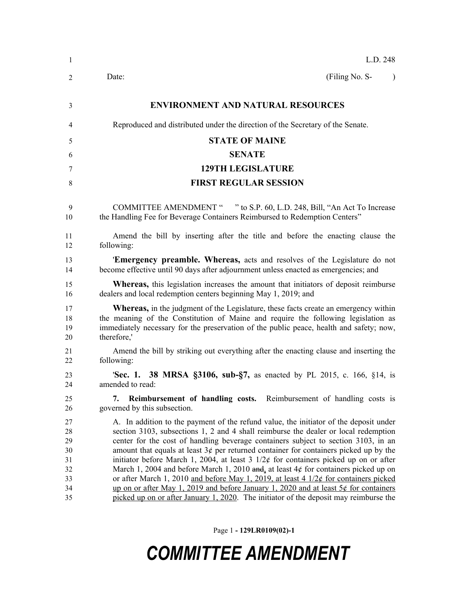| -1                                                 | L.D. 248                                                                                                                                                                                                                                                                                                                                                                                                                                                                                                                                                                                                                                                                                                                                                                                                                         |  |  |
|----------------------------------------------------|----------------------------------------------------------------------------------------------------------------------------------------------------------------------------------------------------------------------------------------------------------------------------------------------------------------------------------------------------------------------------------------------------------------------------------------------------------------------------------------------------------------------------------------------------------------------------------------------------------------------------------------------------------------------------------------------------------------------------------------------------------------------------------------------------------------------------------|--|--|
| 2                                                  | (Filing No. S-<br>Date:<br>$\lambda$                                                                                                                                                                                                                                                                                                                                                                                                                                                                                                                                                                                                                                                                                                                                                                                             |  |  |
| 3                                                  | <b>ENVIRONMENT AND NATURAL RESOURCES</b>                                                                                                                                                                                                                                                                                                                                                                                                                                                                                                                                                                                                                                                                                                                                                                                         |  |  |
| 4                                                  | Reproduced and distributed under the direction of the Secretary of the Senate.                                                                                                                                                                                                                                                                                                                                                                                                                                                                                                                                                                                                                                                                                                                                                   |  |  |
| 5                                                  | <b>STATE OF MAINE</b>                                                                                                                                                                                                                                                                                                                                                                                                                                                                                                                                                                                                                                                                                                                                                                                                            |  |  |
| 6                                                  | <b>SENATE</b>                                                                                                                                                                                                                                                                                                                                                                                                                                                                                                                                                                                                                                                                                                                                                                                                                    |  |  |
| 7                                                  | <b>129TH LEGISLATURE</b>                                                                                                                                                                                                                                                                                                                                                                                                                                                                                                                                                                                                                                                                                                                                                                                                         |  |  |
| 8                                                  | <b>FIRST REGULAR SESSION</b>                                                                                                                                                                                                                                                                                                                                                                                                                                                                                                                                                                                                                                                                                                                                                                                                     |  |  |
| 9<br>10                                            | COMMITTEE AMENDMENT " " to S.P. 60, L.D. 248, Bill, "An Act To Increase<br>the Handling Fee for Beverage Containers Reimbursed to Redemption Centers"                                                                                                                                                                                                                                                                                                                                                                                                                                                                                                                                                                                                                                                                            |  |  |
| 11<br>12                                           | Amend the bill by inserting after the title and before the enacting clause the<br>following:                                                                                                                                                                                                                                                                                                                                                                                                                                                                                                                                                                                                                                                                                                                                     |  |  |
| 13<br>14                                           | <b>Emergency preamble. Whereas, acts and resolves of the Legislature do not</b><br>become effective until 90 days after adjournment unless enacted as emergencies; and                                                                                                                                                                                                                                                                                                                                                                                                                                                                                                                                                                                                                                                           |  |  |
| 15<br>16                                           | <b>Whereas</b> , this legislation increases the amount that initiators of deposit reimburse<br>dealers and local redemption centers beginning May 1, 2019; and                                                                                                                                                                                                                                                                                                                                                                                                                                                                                                                                                                                                                                                                   |  |  |
| 17<br>18<br>19<br>20                               | <b>Whereas,</b> in the judgment of the Legislature, these facts create an emergency within<br>the meaning of the Constitution of Maine and require the following legislation as<br>immediately necessary for the preservation of the public peace, health and safety; now,<br>therefore,'                                                                                                                                                                                                                                                                                                                                                                                                                                                                                                                                        |  |  |
| 21<br>22                                           | Amend the bill by striking out everything after the enacting clause and inserting the<br>following:                                                                                                                                                                                                                                                                                                                                                                                                                                                                                                                                                                                                                                                                                                                              |  |  |
| 23<br>24                                           | <b>Sec. 1. 38 MRSA §3106, sub-§7, as enacted by PL 2015, c. 166, §14, is</b><br>amended to read:                                                                                                                                                                                                                                                                                                                                                                                                                                                                                                                                                                                                                                                                                                                                 |  |  |
| 25<br>26                                           | Reimbursement of handling costs. Reimbursement of handling costs is<br>7.<br>governed by this subsection.                                                                                                                                                                                                                                                                                                                                                                                                                                                                                                                                                                                                                                                                                                                        |  |  |
| 27<br>28<br>29<br>30<br>31<br>32<br>33<br>34<br>35 | A. In addition to the payment of the refund value, the initiator of the deposit under<br>section 3103, subsections 1, 2 and 4 shall reimburse the dealer or local redemption<br>center for the cost of handling beverage containers subject to section 3103, in an<br>amount that equals at least $3¢$ per returned container for containers picked up by the<br>initiator before March 1, 2004, at least 3 $1/2\phi$ for containers picked up on or after<br>March 1, 2004 and before March 1, 2010 and, at least $4¢$ for containers picked up on<br>or after March 1, 2010 and before May 1, 2019, at least 4 $1/2¢$ for containers picked<br>up on or after May 1, 2019 and before January 1, 2020 and at least $5¢$ for containers<br>picked up on or after January 1, 2020. The initiator of the deposit may reimburse the |  |  |

Page 1 **- 129LR0109(02)-1**

# *COMMITTEE AMENDMENT*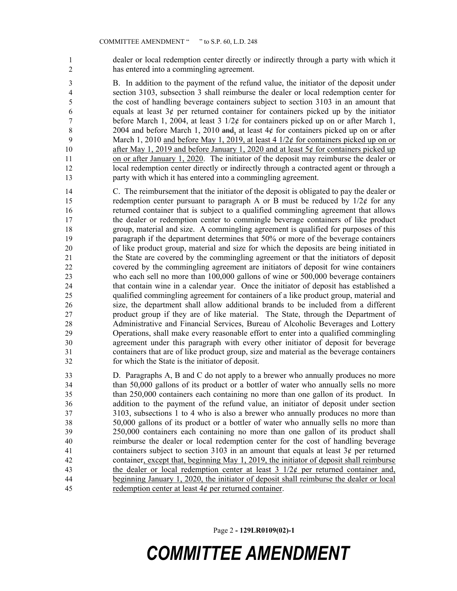dealer or local redemption center directly or indirectly through a party with which it has entered into a commingling agreement.

 B. In addition to the payment of the refund value, the initiator of the deposit under section 3103, subsection 3 shall reimburse the dealer or local redemption center for the cost of handling beverage containers subject to section 3103 in an amount that 6 equals at least  $3¢$  per returned container for containers picked up by the initiator before March 1, 2004, at least 3 1/2¢ for containers picked up on or after March 1, 8 2004 and before March 1, 2010 and, at least  $4¢$  for containers picked up on or after 9 March 1, 2010 and before May 1, 2019, at least 4  $1/2\ell$  for containers picked up on or 10 after May 1, 2019 and before January 1, 2020 and at least  $5¢$  for containers picked up on or after January 1, 2020. The initiator of the deposit may reimburse the dealer or local redemption center directly or indirectly through a contracted agent or through a party with which it has entered into a commingling agreement.

- C. The reimbursement that the initiator of the deposit is obligated to pay the dealer or 15 redemption center pursuant to paragraph A or B must be reduced by  $1/2\ell$  for any returned container that is subject to a qualified commingling agreement that allows the dealer or redemption center to commingle beverage containers of like product group, material and size. A commingling agreement is qualified for purposes of this paragraph if the department determines that 50% or more of the beverage containers of like product group, material and size for which the deposits are being initiated in the State are covered by the commingling agreement or that the initiators of deposit covered by the commingling agreement are initiators of deposit for wine containers who each sell no more than 100,000 gallons of wine or 500,000 beverage containers that contain wine in a calendar year. Once the initiator of deposit has established a qualified commingling agreement for containers of a like product group, material and size, the department shall allow additional brands to be included from a different product group if they are of like material. The State, through the Department of Administrative and Financial Services, Bureau of Alcoholic Beverages and Lottery Operations, shall make every reasonable effort to enter into a qualified commingling agreement under this paragraph with every other initiator of deposit for beverage containers that are of like product group, size and material as the beverage containers for which the State is the initiator of deposit.
- D. Paragraphs A, B and C do not apply to a brewer who annually produces no more than 50,000 gallons of its product or a bottler of water who annually sells no more than 250,000 containers each containing no more than one gallon of its product. In addition to the payment of the refund value, an initiator of deposit under section 3103, subsections 1 to 4 who is also a brewer who annually produces no more than 50,000 gallons of its product or a bottler of water who annually sells no more than 250,000 containers each containing no more than one gallon of its product shall reimburse the dealer or local redemption center for the cost of handling beverage containers subject to section 3103 in an amount that equals at least 3¢ per returned container, except that, beginning May 1, 2019, the initiator of deposit shall reimburse the dealer or local redemption center at least 3 1/2¢ per returned container and, beginning January 1, 2020, the initiator of deposit shall reimburse the dealer or local 45 redemption center at least  $4¢$  per returned container.

Page 2 **- 129LR0109(02)-1**

## *COMMITTEE AMENDMENT*